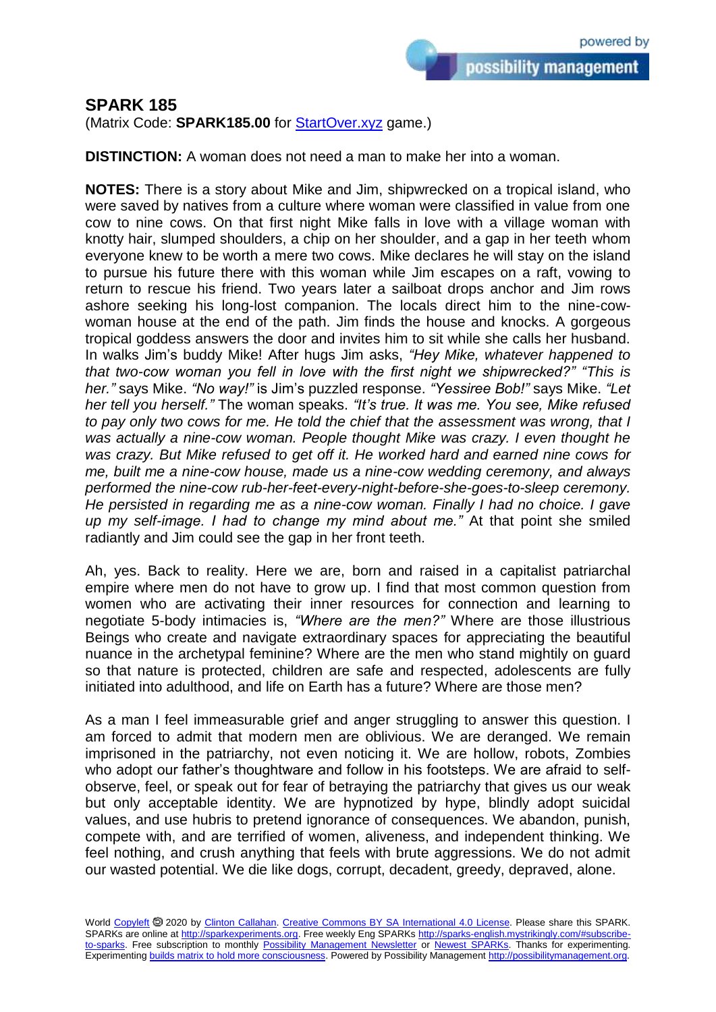## **SPARK 185**

(Matrix Code: **SPARK185.00** for **StartOver.xyz** game.)

**DISTINCTION:** A woman does not need a man to make her into a woman.

**NOTES:** There is a story about Mike and Jim, shipwrecked on a tropical island, who were saved by natives from a culture where woman were classified in value from one cow to nine cows. On that first night Mike falls in love with a village woman with knotty hair, slumped shoulders, a chip on her shoulder, and a gap in her teeth whom everyone knew to be worth a mere two cows. Mike declares he will stay on the island to pursue his future there with this woman while Jim escapes on a raft, vowing to return to rescue his friend. Two years later a sailboat drops anchor and Jim rows ashore seeking his long-lost companion. The locals direct him to the nine-cowwoman house at the end of the path. Jim finds the house and knocks. A gorgeous tropical goddess answers the door and invites him to sit while she calls her husband. In walks Jim's buddy Mike! After hugs Jim asks, *"Hey Mike, whatever happened to that two-cow woman you fell in love with the first night we shipwrecked?" "This is her."* says Mike. *"No way!"* is Jim's puzzled response. *"Yessiree Bob!"* says Mike. *"Let her tell you herself."* The woman speaks. *"It's true. It was me. You see, Mike refused to pay only two cows for me. He told the chief that the assessment was wrong, that I was actually a nine-cow woman. People thought Mike was crazy. I even thought he was crazy. But Mike refused to get off it. He worked hard and earned nine cows for me, built me a nine-cow house, made us a nine-cow wedding ceremony, and always performed the nine-cow rub-her-feet-every-night-before-she-goes-to-sleep ceremony. He persisted in regarding me as a nine-cow woman. Finally I had no choice. I gave up my self-image. I had to change my mind about me."* At that point she smiled radiantly and Jim could see the gap in her front teeth.

Ah, yes. Back to reality. Here we are, born and raised in a capitalist patriarchal empire where men do not have to grow up. I find that most common question from women who are activating their inner resources for connection and learning to negotiate 5-body intimacies is, *"Where are the men?"* Where are those illustrious Beings who create and navigate extraordinary spaces for appreciating the beautiful nuance in the archetypal feminine? Where are the men who stand mightily on guard so that nature is protected, children are safe and respected, adolescents are fully initiated into adulthood, and life on Earth has a future? Where are those men?

As a man I feel immeasurable grief and anger struggling to answer this question. I am forced to admit that modern men are oblivious. We are deranged. We remain imprisoned in the patriarchy, not even noticing it. We are hollow, robots, Zombies who adopt our father's thoughtware and follow in his footsteps. We are afraid to selfobserve, feel, or speak out for fear of betraying the patriarchy that gives us our weak but only acceptable identity. We are hypnotized by hype, blindly adopt suicidal values, and use hubris to pretend ignorance of consequences. We abandon, punish, compete with, and are terrified of women, aliveness, and independent thinking. We feel nothing, and crush anything that feels with brute aggressions. We do not admit our wasted potential. We die like dogs, corrupt, decadent, greedy, depraved, alone.

World [Copyleft](https://en.wikipedia.org/wiki/Copyleft) <sup>®</sup> 2020 by [Clinton Callahan.](http://clintoncallahan.mystrikingly.com/) [Creative Commons BY SA International 4.0 License.](https://creativecommons.org/licenses/by-sa/4.0/) Please share this SPARK. SPARKs are online at [http://sparkexperiments.org.](http://sparks-english.mystrikingly.com/) Free weekly Eng SPARKs [http://sparks-english.mystrikingly.com/#subscribe](http://sparks-english.mystrikingly.com/#subscribe-to-sparks)[to-sparks.](http://sparks-english.mystrikingly.com/#subscribe-to-sparks) Free subscription to monthly [Possibility Management Newsletter](https://possibilitymanagement.org/news/) or [Newest SPARKs.](https://www.clintoncallahan.org/newsletter-1) Thanks for experimenting. Experimentin[g builds matrix to hold more consciousness.](http://spaceport.mystrikingly.com/) Powered by Possibility Managemen[t http://possibilitymanagement.org.](http://possibilitymanagement.org/)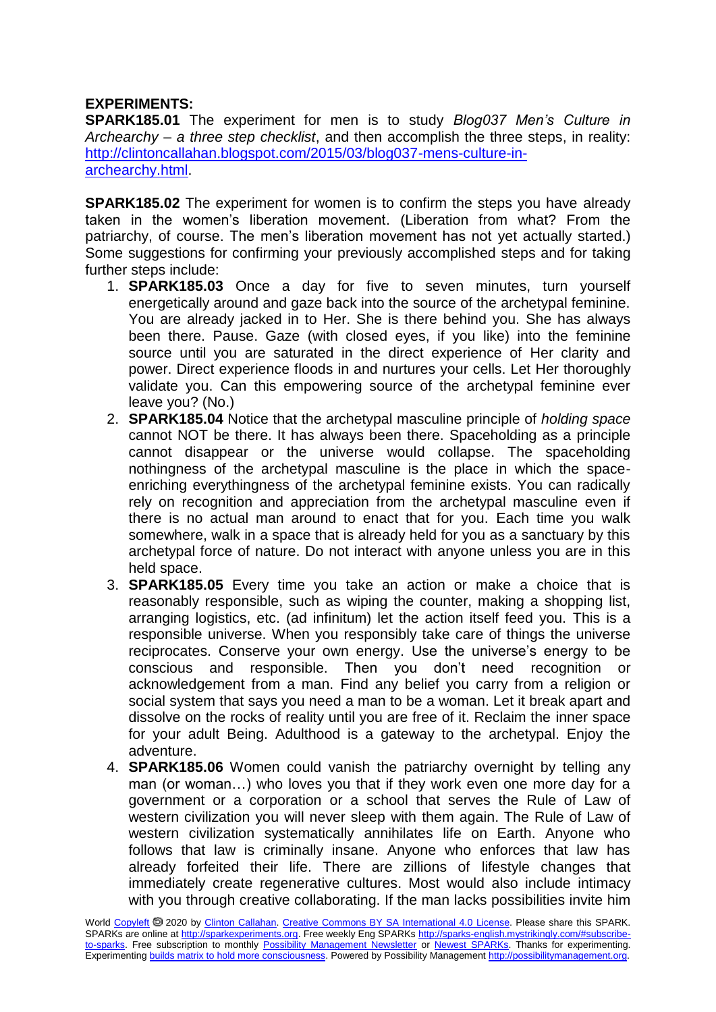## **EXPERIMENTS:**

**SPARK185.01** The experiment for men is to study *Blog037 Men's Culture in Archearchy – a three step checklist*, and then accomplish the three steps, in reality: [http://clintoncallahan.blogspot.com/2015/03/blog037-mens-culture-in](http://clintoncallahan.blogspot.com/2015/03/blog037-mens-culture-in-archearchy.html)[archearchy.html.](http://clintoncallahan.blogspot.com/2015/03/blog037-mens-culture-in-archearchy.html)

**SPARK185.02** The experiment for women is to confirm the steps you have already taken in the women's liberation movement. (Liberation from what? From the patriarchy, of course. The men's liberation movement has not yet actually started.) Some suggestions for confirming your previously accomplished steps and for taking further steps include:

- 1. **SPARK185.03** Once a day for five to seven minutes, turn yourself energetically around and gaze back into the source of the archetypal feminine. You are already jacked in to Her. She is there behind you. She has always been there. Pause. Gaze (with closed eyes, if you like) into the feminine source until you are saturated in the direct experience of Her clarity and power. Direct experience floods in and nurtures your cells. Let Her thoroughly validate you. Can this empowering source of the archetypal feminine ever leave you? (No.)
- 2. **SPARK185.04** Notice that the archetypal masculine principle of *holding space* cannot NOT be there. It has always been there. Spaceholding as a principle cannot disappear or the universe would collapse. The spaceholding nothingness of the archetypal masculine is the place in which the spaceenriching everythingness of the archetypal feminine exists. You can radically rely on recognition and appreciation from the archetypal masculine even if there is no actual man around to enact that for you. Each time you walk somewhere, walk in a space that is already held for you as a sanctuary by this archetypal force of nature. Do not interact with anyone unless you are in this held space.
- 3. **SPARK185.05** Every time you take an action or make a choice that is reasonably responsible, such as wiping the counter, making a shopping list, arranging logistics, etc. (ad infinitum) let the action itself feed you. This is a responsible universe. When you responsibly take care of things the universe reciprocates. Conserve your own energy. Use the universe's energy to be conscious and responsible. Then you don't need recognition or acknowledgement from a man. Find any belief you carry from a religion or social system that says you need a man to be a woman. Let it break apart and dissolve on the rocks of reality until you are free of it. Reclaim the inner space for your adult Being. Adulthood is a gateway to the archetypal. Enjoy the adventure.
- 4. **SPARK185.06** Women could vanish the patriarchy overnight by telling any man (or woman…) who loves you that if they work even one more day for a government or a corporation or a school that serves the Rule of Law of western civilization you will never sleep with them again. The Rule of Law of western civilization systematically annihilates life on Earth. Anyone who follows that law is criminally insane. Anyone who enforces that law has already forfeited their life. There are zillions of lifestyle changes that immediately create regenerative cultures. Most would also include intimacy with you through creative collaborating. If the man lacks possibilities invite him